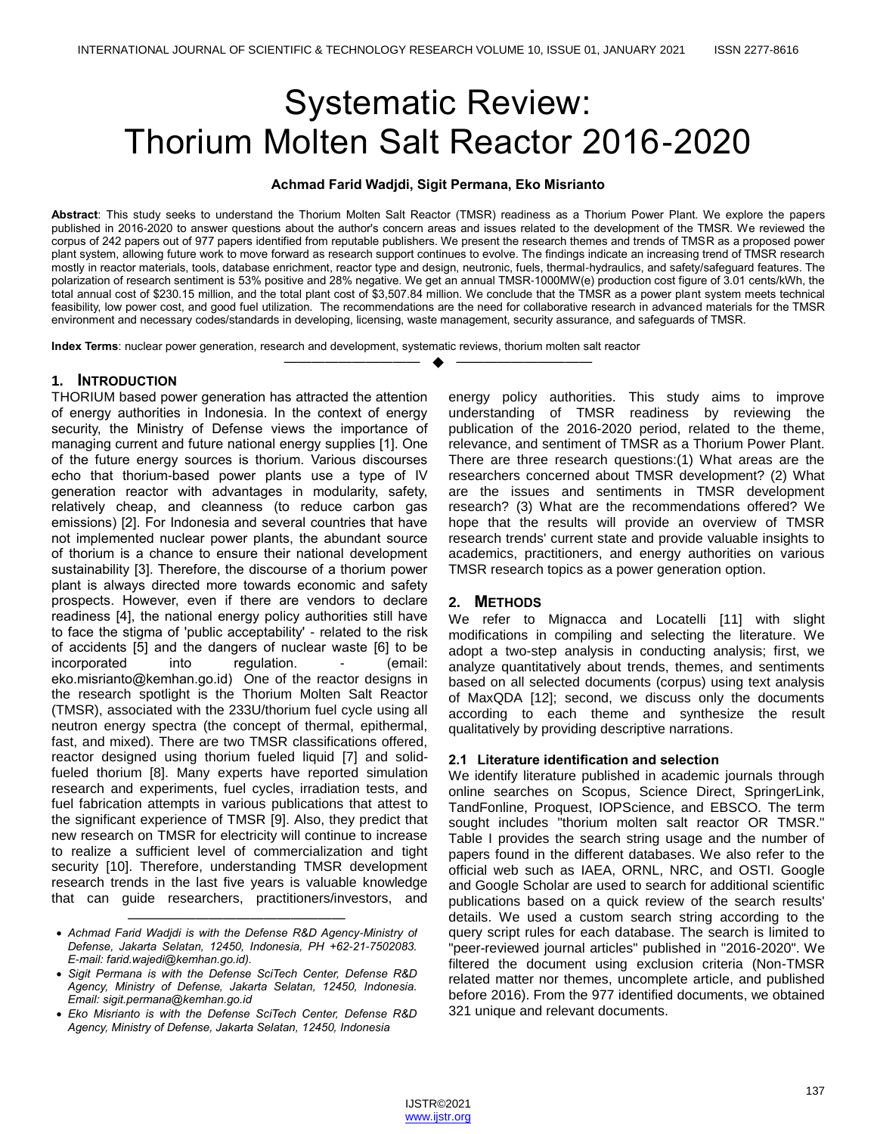# Systematic Review: Thorium Molten Salt Reactor 2016-2020

#### **Achmad Farid Wadjdi, Sigit Permana, Eko Misrianto**

**Abstract**: This study seeks to understand the Thorium Molten Salt Reactor (TMSR) readiness as a Thorium Power Plant. We explore the papers published in 2016-2020 to answer questions about the author's concern areas and issues related to the development of the TMSR. We reviewed the corpus of 242 papers out of 977 papers identified from reputable publishers. We present the research themes and trends of TMSR as a proposed power plant system, allowing future work to move forward as research support continues to evolve. The findings indicate an increasing trend of TMSR research mostly in reactor materials, tools, database enrichment, reactor type and design, neutronic, fuels, thermal-hydraulics, and safety/safeguard features. The polarization of research sentiment is 53% positive and 28% negative. We get an annual TMSR-1000MW(e) production cost figure of 3.01 cents/kWh, the total annual cost of \$230.15 million, and the total plant cost of \$3,507.84 million. We conclude that the TMSR as a power plant system meets technical feasibility, low power cost, and good fuel utilization. The recommendations are the need for collaborative research in advanced materials for the TMSR environment and necessary codes/standards in developing, licensing, waste management, security assurance, and safeguards of TMSR.

—————————— ——————————

**Index Terms**: nuclear power generation, research and development, systematic reviews, thorium molten salt reactor

#### **1. INTRODUCTION**

HORIUM based power generation has attracted the attention T of energy authorities in Indonesia. In the context of energy security, the Ministry of Defense views the importance of managing current and future national energy supplies [1]. One of the future energy sources is thorium. Various discourses echo that thorium-based power plants use a type of IV generation reactor with advantages in modularity, safety, relatively cheap, and cleanness (to reduce carbon gas emissions) [2]. For Indonesia and several countries that have not implemented nuclear power plants, the abundant source of thorium is a chance to ensure their national development sustainability [3]. Therefore, the discourse of a thorium power plant is always directed more towards economic and safety prospects. However, even if there are vendors to declare readiness [4], the national energy policy authorities still have to face the stigma of 'public acceptability' - related to the risk of accidents [5] and the dangers of nuclear waste [6] to be incorporated into regulation. - (email: eko.misrianto@kemhan.go.id) One of the reactor designs in the research spotlight is the Thorium Molten Salt Reactor (TMSR), associated with the 233U/thorium fuel cycle using all neutron energy spectra (the concept of thermal, epithermal, fast, and mixed). There are two TMSR classifications offered, reactor designed using thorium fueled liquid [7] and solidfueled thorium [8]. Many experts have reported simulation research and experiments, fuel cycles, irradiation tests, and fuel fabrication attempts in various publications that attest to the significant experience of TMSR [9]. Also, they predict that new research on TMSR for electricity will continue to increase to realize a sufficient level of commercialization and tight security [10]. Therefore, understanding TMSR development research trends in the last five years is valuable knowledge that can guide researchers, practitioners/investors, and

energy policy authorities. This study aims to improve understanding of TMSR readiness by reviewing the publication of the 2016-2020 period, related to the theme, relevance, and sentiment of TMSR as a Thorium Power Plant. There are three research questions:(1) What areas are the researchers concerned about TMSR development? (2) What are the issues and sentiments in TMSR development research? (3) What are the recommendations offered? We hope that the results will provide an overview of TMSR research trends' current state and provide valuable insights to academics, practitioners, and energy authorities on various TMSR research topics as a power generation option.

# **2. METHODS**

We refer to Mignacca and Locatelli [11] with slight modifications in compiling and selecting the literature. We adopt a two-step analysis in conducting analysis; first, we analyze quantitatively about trends, themes, and sentiments based on all selected documents (corpus) using text analysis of MaxQDA [12]; second, we discuss only the documents according to each theme and synthesize the result qualitatively by providing descriptive narrations.

#### **2.1 Literature identification and selection**

We identify literature published in academic journals through online searches on Scopus, Science Direct, SpringerLink, TandFonline, Proquest, IOPScience, and EBSCO. The term sought includes "thorium molten salt reactor OR TMSR." Table I provides the search string usage and the number of papers found in the different databases. We also refer to the official web such as IAEA, ORNL, NRC, and OSTI. Google and Google Scholar are used to search for additional scientific publications based on a quick review of the search results' details. We used a custom search string according to the query script rules for each database. The search is limited to "peer-reviewed journal articles" published in "2016-2020". We filtered the document using exclusion criteria (Non-TMSR related matter nor themes, uncomplete article, and published before 2016). From the 977 identified documents, we obtained 321 unique and relevant documents.

<sup>————————————————</sup> *Achmad Farid Wadjdi is with the Defense R&D Agency-Ministry of Defense, Jakarta Selatan, 12450, Indonesia, PH +62-21-7502083. E-mail: farid.wajedi@kemhan.go.id).* 

*Sigit Permana is with the Defense SciTech Center, Defense R&D Agency, Ministry of Defense, Jakarta Selatan, 12450, Indonesia. Email: sigit.permana@kemhan.go.id*

*Eko Misrianto is with the Defense SciTech Center, Defense R&D Agency, Ministry of Defense, Jakarta Selatan, 12450, Indonesia*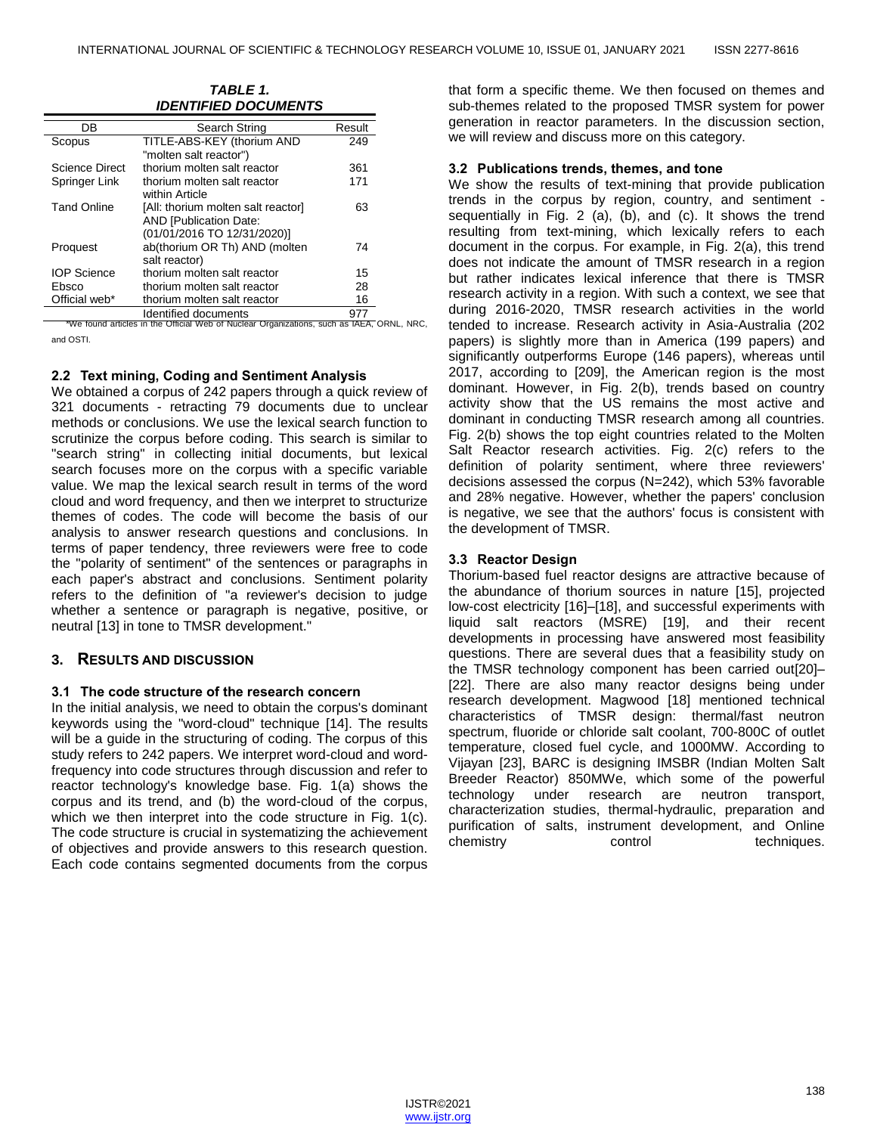*TABLE 1. IDENTIFIED DOCUMENTS*

| ,,,,,,,,,,,,,,,,,,,,,,,, |                                                                                                    |        |
|--------------------------|----------------------------------------------------------------------------------------------------|--------|
| DB                       | Search String                                                                                      | Result |
| Scopus                   | TITLE-ABS-KEY (thorium AND<br>"molten salt reactor")                                               | 249    |
| Science Direct           | thorium molten salt reactor                                                                        | 361    |
| Springer Link            | thorium molten salt reactor<br>within Article                                                      | 171    |
| <b>Tand Online</b>       | [All: thorium molten salt reactor]<br><b>AND [Publication Date:</b><br>(01/01/2016 TO 12/31/2020)] | 63     |
| Proquest                 | ab(thorium OR Th) AND (molten<br>salt reactor)                                                     | 74     |
| <b>IOP Science</b>       | thorium molten salt reactor                                                                        | 15     |
| Ebsco                    | thorium molten salt reactor                                                                        | 28     |
| Official web*            | thorium molten salt reactor                                                                        | 16     |
|                          | etramında dağıtmahl                                                                                | 977    |

Identified documents 977 \*We found articles in the Official Web of Nuclear Organizations, such as IAEA, ORNL, NRC, and OSTI.

#### **2.2 Text mining, Coding and Sentiment Analysis**

We obtained a corpus of 242 papers through a quick review of 321 documents - retracting 79 documents due to unclear methods or conclusions. We use the lexical search function to scrutinize the corpus before coding. This search is similar to "search string" in collecting initial documents, but lexical search focuses more on the corpus with a specific variable value. We map the lexical search result in terms of the word cloud and word frequency, and then we interpret to structurize themes of codes. The code will become the basis of our analysis to answer research questions and conclusions. In terms of paper tendency, three reviewers were free to code the "polarity of sentiment" of the sentences or paragraphs in each paper's abstract and conclusions. Sentiment polarity refers to the definition of "a reviewer's decision to judge whether a sentence or paragraph is negative, positive, or neutral [13] in tone to TMSR development."

# **3. RESULTS AND DISCUSSION**

#### **3.1 The code structure of the research concern**

In the initial analysis, we need to obtain the corpus's dominant keywords using the "word-cloud" technique [14]. The results will be a guide in the structuring of coding. The corpus of this study refers to 242 papers. We interpret word-cloud and wordfrequency into code structures through discussion and refer to reactor technology's knowledge base. Fig. 1(a) shows the corpus and its trend, and (b) the word-cloud of the corpus, which we then interpret into the code structure in Fig. 1(c). The code structure is crucial in systematizing the achievement of objectives and provide answers to this research question. Each code contains segmented documents from the corpus that form a specific theme. We then focused on themes and sub-themes related to the proposed TMSR system for power generation in reactor parameters. In the discussion section, we will review and discuss more on this category.

#### **3.2 Publications trends, themes, and tone**

We show the results of text-mining that provide publication trends in the corpus by region, country, and sentiment sequentially in Fig. 2 (a), (b), and (c). It shows the trend resulting from text-mining, which lexically refers to each document in the corpus. For example, in Fig. 2(a), this trend does not indicate the amount of TMSR research in a region but rather indicates lexical inference that there is TMSR research activity in a region. With such a context, we see that during 2016-2020, TMSR research activities in the world tended to increase. Research activity in Asia-Australia (202 papers) is slightly more than in America (199 papers) and significantly outperforms Europe (146 papers), whereas until 2017, according to [209], the American region is the most dominant. However, in Fig. 2(b), trends based on country activity show that the US remains the most active and dominant in conducting TMSR research among all countries. Fig. 2(b) shows the top eight countries related to the Molten Salt Reactor research activities. Fig. 2(c) refers to the definition of polarity sentiment, where three reviewers' decisions assessed the corpus (N=242), which 53% favorable and 28% negative. However, whether the papers' conclusion is negative, we see that the authors' focus is consistent with the development of TMSR.

### **3.3 Reactor Design**

Thorium-based fuel reactor designs are attractive because of the abundance of thorium sources in nature [15], projected low-cost electricity [16]–[18], and successful experiments with liquid salt reactors (MSRE) [19], and their recent developments in processing have answered most feasibility questions. There are several dues that a feasibility study on the TMSR technology component has been carried out[20]– [22]. There are also many reactor designs being under research development. Magwood [18] mentioned technical characteristics of TMSR design: thermal/fast neutron spectrum, fluoride or chloride salt coolant, 700-800C of outlet temperature, closed fuel cycle, and 1000MW. According to Vijayan [23], BARC is designing IMSBR (Indian Molten Salt Breeder Reactor) 850MWe, which some of the powerful technology under research are neutron transport, characterization studies, thermal-hydraulic, preparation and purification of salts, instrument development, and Online chemistry control techniques.

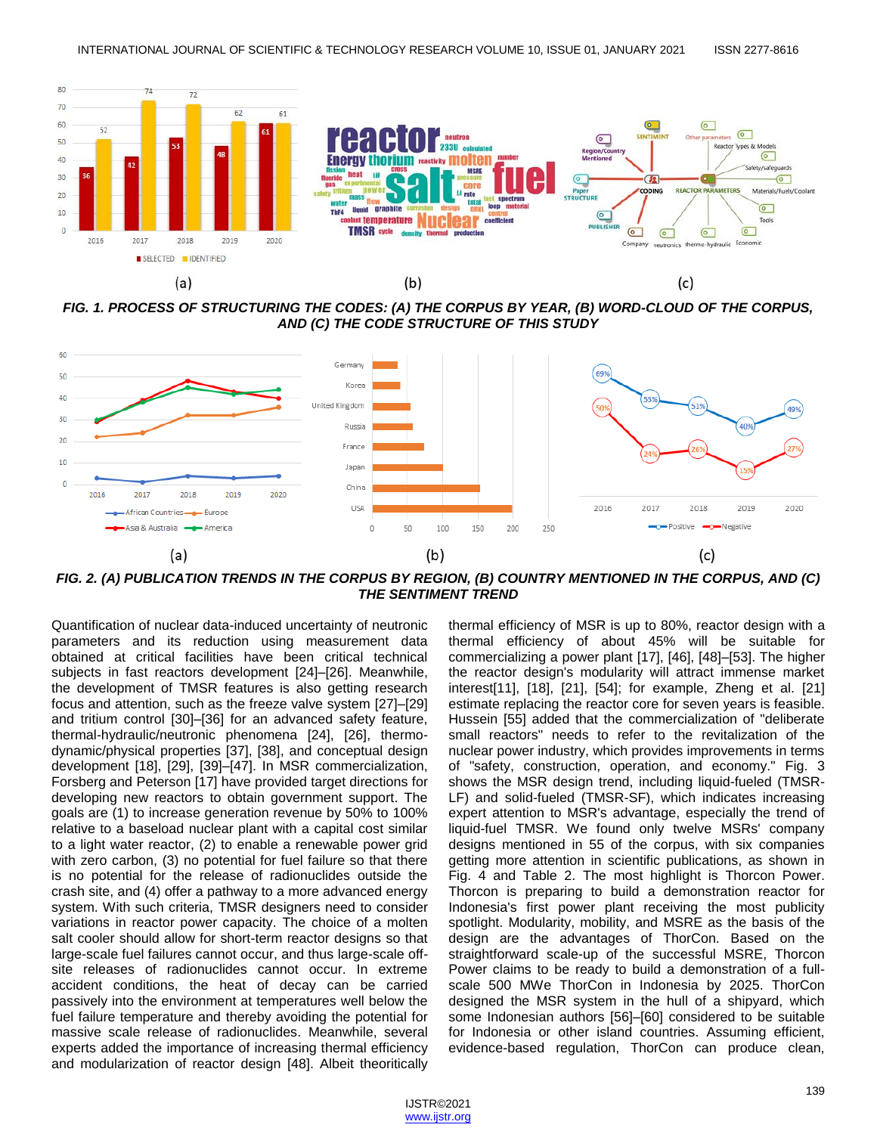

*FIG. 1. PROCESS OF STRUCTURING THE CODES: (A) THE CORPUS BY YEAR, (B) WORD-CLOUD OF THE CORPUS, AND (C) THE CODE STRUCTURE OF THIS STUDY*



*FIG. 2. (A) PUBLICATION TRENDS IN THE CORPUS BY REGION, (B) COUNTRY MENTIONED IN THE CORPUS, AND (C) THE SENTIMENT TREND*

Quantification of nuclear data-induced uncertainty of neutronic parameters and its reduction using measurement data obtained at critical facilities have been critical technical subjects in fast reactors development [24]–[26]. Meanwhile, the development of TMSR features is also getting research focus and attention, such as the freeze valve system [27]–[29] and tritium control [30]–[36] for an advanced safety feature, thermal-hydraulic/neutronic phenomena [24], [26], thermodynamic/physical properties [37], [38], and conceptual design development [18], [29], [39]–[47]. In MSR commercialization, Forsberg and Peterson [17] have provided target directions for developing new reactors to obtain government support. The goals are (1) to increase generation revenue by 50% to 100% relative to a baseload nuclear plant with a capital cost similar to a light water reactor, (2) to enable a renewable power grid with zero carbon, (3) no potential for fuel failure so that there is no potential for the release of radionuclides outside the crash site, and (4) offer a pathway to a more advanced energy system. With such criteria, TMSR designers need to consider variations in reactor power capacity. The choice of a molten salt cooler should allow for short-term reactor designs so that large-scale fuel failures cannot occur, and thus large-scale offsite releases of radionuclides cannot occur. In extreme accident conditions, the heat of decay can be carried passively into the environment at temperatures well below the fuel failure temperature and thereby avoiding the potential for massive scale release of radionuclides. Meanwhile, several experts added the importance of increasing thermal efficiency and modularization of reactor design [48]. Albeit theoritically thermal efficiency of MSR is up to 80%, reactor design with a thermal efficiency of about 45% will be suitable for commercializing a power plant [17], [46], [48]–[53]. The higher the reactor design's modularity will attract immense market interest[11], [18], [21], [54]; for example, Zheng et al. [21] estimate replacing the reactor core for seven years is feasible. Hussein [55] added that the commercialization of "deliberate small reactors" needs to refer to the revitalization of the nuclear power industry, which provides improvements in terms of "safety, construction, operation, and economy." Fig. 3 shows the MSR design trend, including liquid-fueled (TMSR-LF) and solid-fueled (TMSR-SF), which indicates increasing expert attention to MSR's advantage, especially the trend of liquid-fuel TMSR. We found only twelve MSRs' company designs mentioned in 55 of the corpus, with six companies getting more attention in scientific publications, as shown in Fig. 4 and Table 2. The most highlight is Thorcon Power. Thorcon is preparing to build a demonstration reactor for Indonesia's first power plant receiving the most publicity spotlight. Modularity, mobility, and MSRE as the basis of the design are the advantages of ThorCon. Based on the straightforward scale-up of the successful MSRE, Thorcon Power claims to be ready to build a demonstration of a fullscale 500 MWe ThorCon in Indonesia by 2025. ThorCon designed the MSR system in the hull of a shipyard, which some Indonesian authors [56]–[60] considered to be suitable for Indonesia or other island countries. Assuming efficient, evidence-based regulation, ThorCon can produce clean,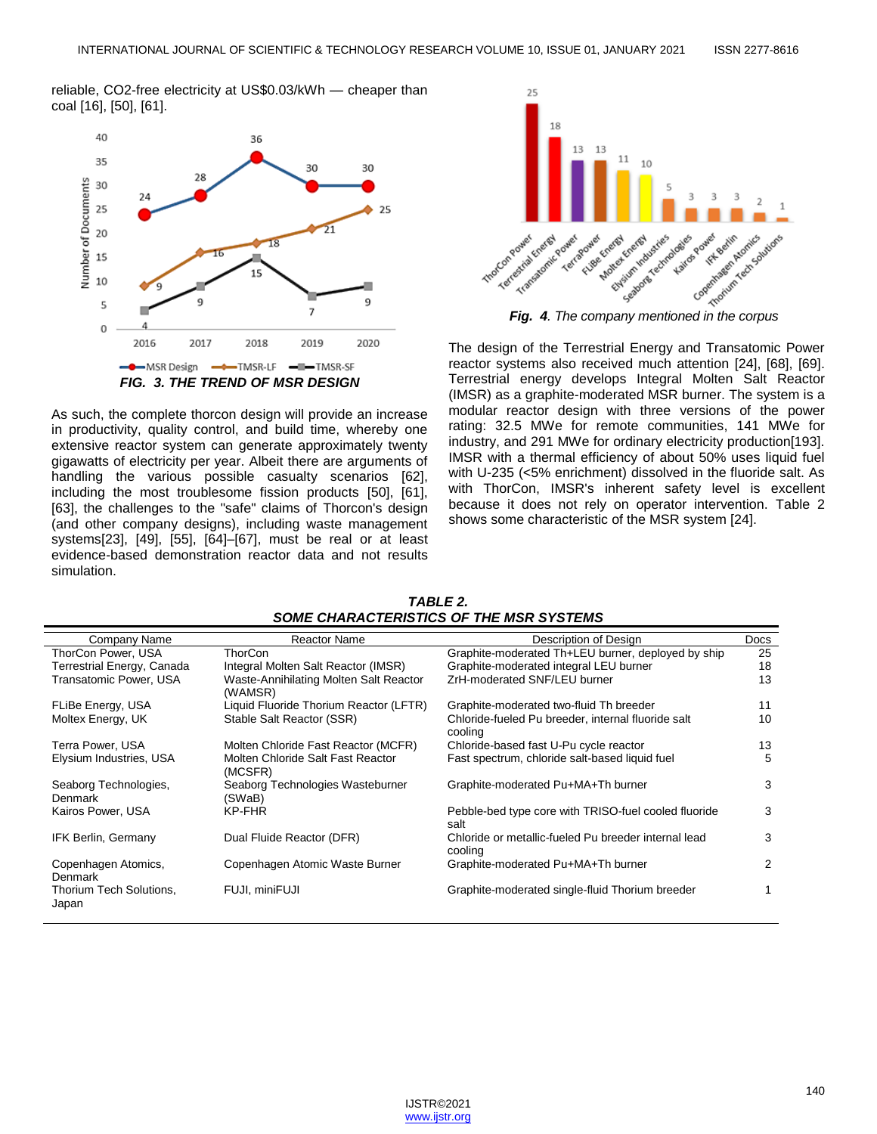reliable, CO2-free electricity at US\$0.03/kWh — cheaper than coal [16], [50], [61].



As such, the complete thorcon design will provide an increase in productivity, quality control, and build time, whereby one extensive reactor system can generate approximately twenty gigawatts of electricity per year. Albeit there are arguments of handling the various possible casualty scenarios [62], including the most troublesome fission products [50], [61], [63], the challenges to the "safe" claims of Thorcon's design (and other company designs), including waste management systems[23], [49], [55], [64]–[67], must be real or at least evidence-based demonstration reactor data and not results simulation.



The design of the Terrestrial Energy and Transatomic Power reactor systems also received much attention [24], [68], [69]. Terrestrial energy develops Integral Molten Salt Reactor (IMSR) as a graphite-moderated MSR burner. The system is a modular reactor design with three versions of the power rating: 32.5 MWe for remote communities, 141 MWe for industry, and 291 MWe for ordinary electricity production[193]. IMSR with a thermal efficiency of about 50% uses liquid fuel with U-235 (<5% enrichment) dissolved in the fluoride salt. As with ThorCon, IMSR's inherent safety level is excellent because it does not rely on operator intervention. Table 2 shows some characteristic of the MSR system [24].

*TABLE 2. SOME CHARACTERISTICS OF THE MSR SYSTEMS*

| Company Name                     | <b>Reactor Name</b>                               | Description of Design                                           | <b>Docs</b> |
|----------------------------------|---------------------------------------------------|-----------------------------------------------------------------|-------------|
| ThorCon Power, USA               | ThorCon                                           | Graphite-moderated Th+LEU burner, deployed by ship              | 25          |
| Terrestrial Energy, Canada       | Integral Molten Salt Reactor (IMSR)               | Graphite-moderated integral LEU burner                          | 18          |
| Transatomic Power, USA           | Waste-Annihilating Molten Salt Reactor<br>(WAMSR) | ZrH-moderated SNF/LEU burner                                    | 13          |
| FLiBe Energy, USA                | Liquid Fluoride Thorium Reactor (LFTR)            | Graphite-moderated two-fluid Th breeder                         | 11          |
| Moltex Energy, UK                | Stable Salt Reactor (SSR)                         | Chloride-fueled Pu breeder, internal fluoride salt<br>cooling   | 10          |
| Terra Power, USA                 | Molten Chloride Fast Reactor (MCFR)               | Chloride-based fast U-Pu cycle reactor                          | 13          |
| Elysium Industries, USA          | Molten Chloride Salt Fast Reactor<br>(MCSFR)      | Fast spectrum, chloride salt-based liquid fuel                  | 5           |
| Seaborg Technologies,<br>Denmark | Seaborg Technologies Wasteburner<br>(SWaB)        | Graphite-moderated Pu+MA+Th burner                              | 3           |
| Kairos Power, USA                | KP-FHR                                            | Pebble-bed type core with TRISO-fuel cooled fluoride<br>salt    | 3           |
| IFK Berlin, Germany              | Dual Fluide Reactor (DFR)                         | Chloride or metallic-fueled Pu breeder internal lead<br>cooling | 3           |
| Copenhagen Atomics,<br>Denmark   | Copenhagen Atomic Waste Burner                    | Graphite-moderated Pu+MA+Th burner                              | 2           |
| Thorium Tech Solutions,<br>Japan | FUJI. miniFUJI                                    | Graphite-moderated single-fluid Thorium breeder                 |             |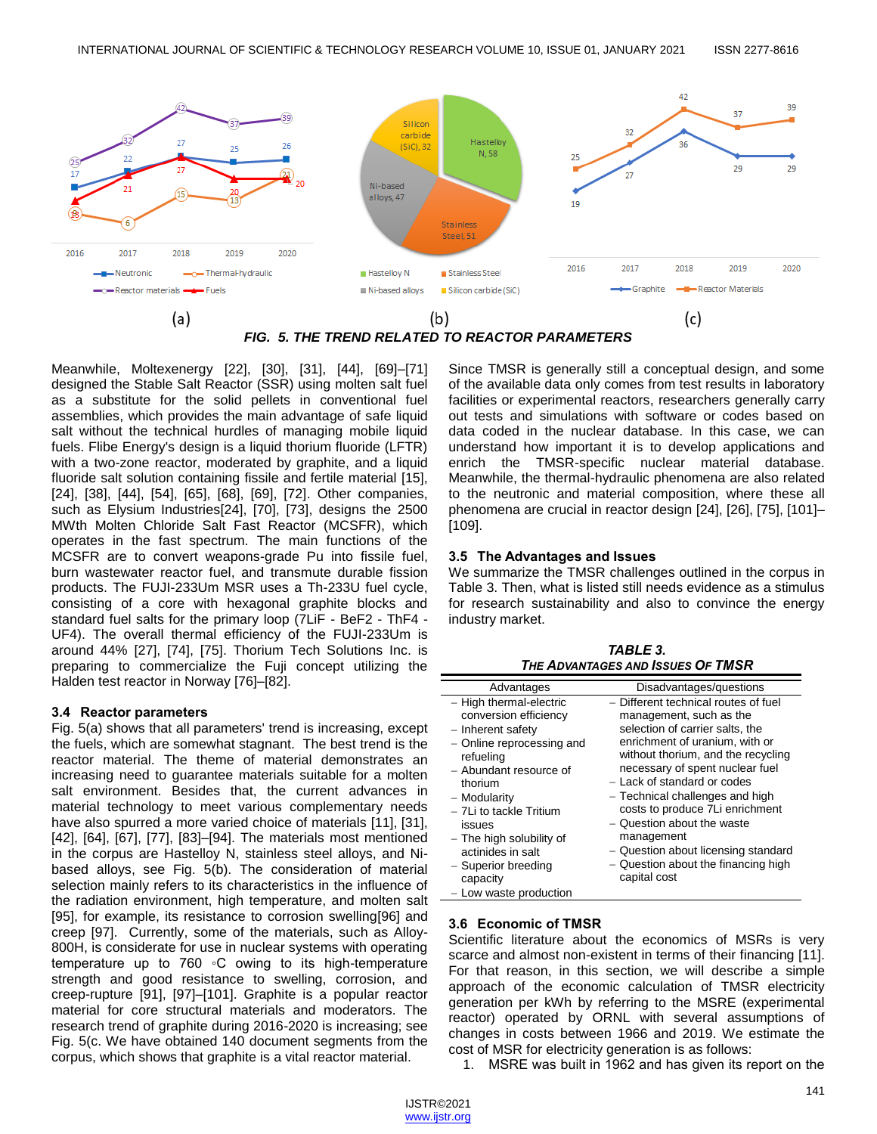

*FIG. 5. THE TREND RELATED TO REACTOR PARAMETERS*

Meanwhile, Moltexenergy [22], [30], [31], [44], [69]–[71] designed the Stable Salt Reactor (SSR) using molten salt fuel as a substitute for the solid pellets in conventional fuel assemblies, which provides the main advantage of safe liquid salt without the technical hurdles of managing mobile liquid fuels. Flibe Energy's design is a liquid thorium fluoride (LFTR) with a two-zone reactor, moderated by graphite, and a liquid fluoride salt solution containing fissile and fertile material [15], [24], [38], [44], [54], [65], [68], [69], [72]. Other companies, such as Elysium Industries[24], [70], [73], designs the 2500 MWth Molten Chloride Salt Fast Reactor (MCSFR), which operates in the fast spectrum. The main functions of the MCSFR are to convert weapons-grade Pu into fissile fuel, burn wastewater reactor fuel, and transmute durable fission products. The FUJI-233Um MSR uses a Th-233U fuel cycle, consisting of a core with hexagonal graphite blocks and standard fuel salts for the primary loop (7LiF - BeF2 - ThF4 - UF4). The overall thermal efficiency of the FUJI-233Um is around 44% [27], [74], [75]. Thorium Tech Solutions Inc. is preparing to commercialize the Fuji concept utilizing the Halden test reactor in Norway [76]–[82].

#### **3.4 Reactor parameters**

Fig. 5(a) shows that all parameters' trend is increasing, except the fuels, which are somewhat stagnant. The best trend is the reactor material. The theme of material demonstrates an increasing need to guarantee materials suitable for a molten salt environment. Besides that, the current advances in material technology to meet various complementary needs have also spurred a more varied choice of materials [11], [31], [42], [64], [67], [77], [83]–[94]. The materials most mentioned in the corpus are Hastelloy N, stainless steel alloys, and Nibased alloys, see Fig. 5(b). The consideration of material selection mainly refers to its characteristics in the influence of the radiation environment, high temperature, and molten salt [95], for example, its resistance to corrosion swelling[96] and creep [97]. Currently, some of the materials, such as Alloy-800H, is considerate for use in nuclear systems with operating temperature up to 760 ◦C owing to its high-temperature strength and good resistance to swelling, corrosion, and creep-rupture [91], [97]–[101]. Graphite is a popular reactor material for core structural materials and moderators. The research trend of graphite during 2016-2020 is increasing; see Fig. 5(c. We have obtained 140 document segments from the corpus, which shows that graphite is a vital reactor material.

Since TMSR is generally still a conceptual design, and some of the available data only comes from test results in laboratory facilities or experimental reactors, researchers generally carry out tests and simulations with software or codes based on data coded in the nuclear database. In this case, we can understand how important it is to develop applications and enrich the TMSR-specific nuclear material database. Meanwhile, the thermal-hydraulic phenomena are also related to the neutronic and material composition, where these all phenomena are crucial in reactor design [24], [26], [75], [101]– [109].

# **3.5 The Advantages and Issues**

We summarize the TMSR challenges outlined in the corpus in Table 3. Then, what is listed still needs evidence as a stimulus for research sustainability and also to convince the energy industry market.

| TABLE 3.                          |
|-----------------------------------|
| THE ADVANTAGES AND ISSUES OF TMSR |

| Advantages                                                                                                                                                                                                                                                                                                              | Disadvantages/questions                                                                                                                                                                                                                                                                                                                                                                                                                                      |
|-------------------------------------------------------------------------------------------------------------------------------------------------------------------------------------------------------------------------------------------------------------------------------------------------------------------------|--------------------------------------------------------------------------------------------------------------------------------------------------------------------------------------------------------------------------------------------------------------------------------------------------------------------------------------------------------------------------------------------------------------------------------------------------------------|
| - High thermal-electric<br>conversion efficiency<br>- Inherent safety<br>- Online reprocessing and<br>refueling<br>- Abundant resource of<br>thorium<br>- Modularity<br>- 7Li to tackle Tritium<br>issues<br>- The high solubility of<br>actinides in salt<br>- Superior breeding<br>capacity<br>- Low waste production | - Different technical routes of fuel<br>management, such as the<br>selection of carrier salts, the<br>enrichment of uranium, with or<br>without thorium, and the recycling<br>necessary of spent nuclear fuel<br>- Lack of standard or codes<br>- Technical challenges and high<br>costs to produce 7Li enrichment<br>- Question about the waste<br>management<br>- Question about licensing standard<br>- Question about the financing high<br>capital cost |

#### **3.6 Economic of TMSR**

Scientific literature about the economics of MSRs is very scarce and almost non-existent in terms of their financing [11]. For that reason, in this section, we will describe a simple approach of the economic calculation of TMSR electricity generation per kWh by referring to the MSRE (experimental reactor) operated by ORNL with several assumptions of changes in costs between 1966 and 2019. We estimate the cost of MSR for electricity generation is as follows:

1. MSRE was built in 1962 and has given its report on the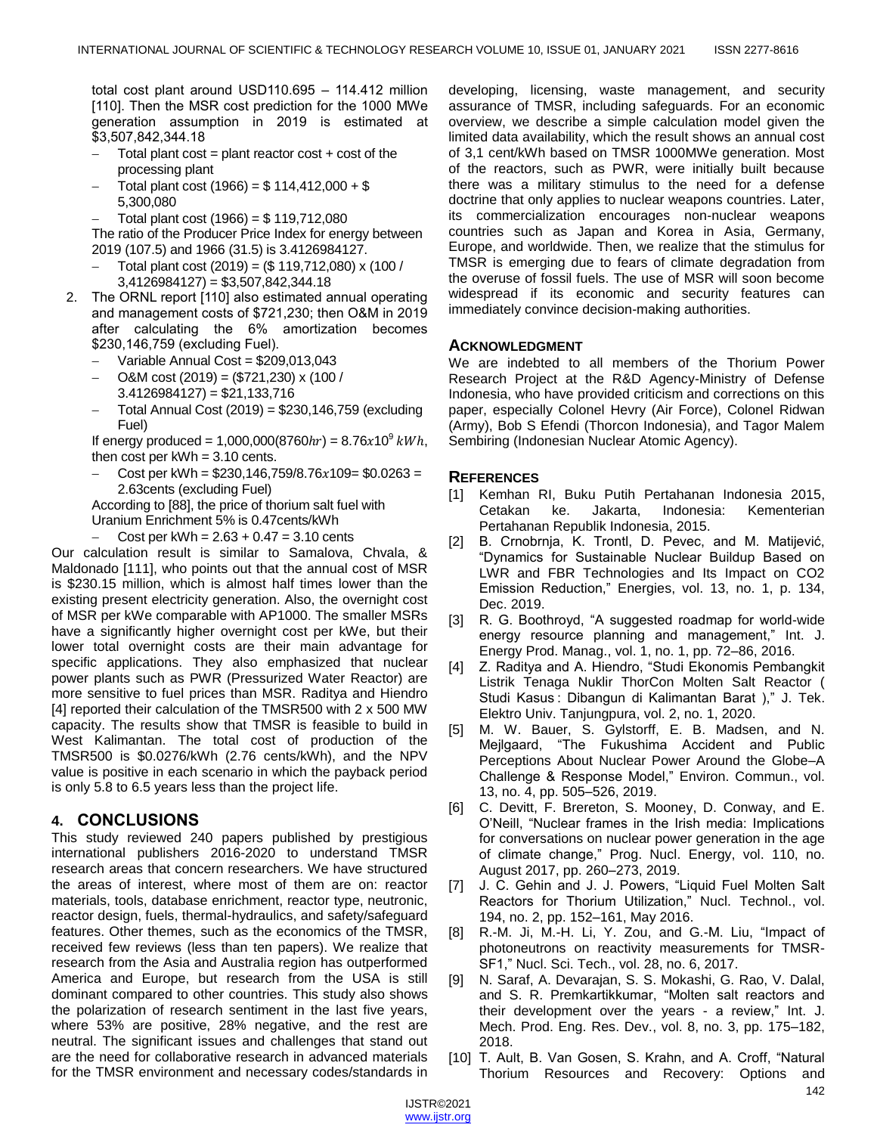total cost plant around USD110.695 – 114.412 million [110]. Then the MSR cost prediction for the 1000 MWe generation assumption in 2019 is estimated at \$3,507,842,344.18

- Total plant  $cost = plant$  reactor  $cost + cost$  of the processing plant
- Total plant cost  $(1966) = $ 114,412,000 + $$ 5,300,080
- Total plant cost (1966) = \$ 119,712,080

The ratio of the Producer Price Index for energy between 2019 (107.5) and 1966 (31.5) is 3.4126984127.

- Total plant cost (2019) = (\$ 119,712,080) x (100 / 3,4126984127) = \$3,507,842,344.18
- 2. The ORNL report [110] also estimated annual operating and management costs of \$721,230; then O&M in 2019 after calculating the 6% amortization becomes \$230,146,759 (excluding Fuel).
	- Variable Annual Cost = \$209,013,043
	- O&M cost (2019) = (\$721,230) x (100 / 3.4126984127) = \$21,133,716
	- Total Annual Cost (2019) = \$230,146,759 (excluding Fuel)

If energy produced = 1,000,000(8760 $hr$ ) = 8.76x10<sup>9</sup>  $kWh$ , then cost per  $kWh = 3.10$  cents.

Cost per kWh =  $$230,146,759/8.76x109 = $0.0263 =$ 2.63cents (excluding Fuel)

According to [88], the price of thorium salt fuel with Uranium Enrichment 5% is 0.47cents/kWh

Cost per kWh =  $2.63 + 0.47 = 3.10$  cents

Our calculation result is similar to Samalova, Chvala, & Maldonado [111], who points out that the annual cost of MSR is \$230.15 million, which is almost half times lower than the existing present electricity generation. Also, the overnight cost of MSR per kWe comparable with AP1000. The smaller MSRs have a significantly higher overnight cost per kWe, but their lower total overnight costs are their main advantage for specific applications. They also emphasized that nuclear power plants such as PWR (Pressurized Water Reactor) are more sensitive to fuel prices than MSR. Raditya and Hiendro [4] reported their calculation of the TMSR500 with 2 x 500 MW capacity. The results show that TMSR is feasible to build in West Kalimantan. The total cost of production of the TMSR500 is \$0.0276/kWh (2.76 cents/kWh), and the NPV value is positive in each scenario in which the payback period is only 5.8 to 6.5 years less than the project life.

# **4. CONCLUSIONS**

This study reviewed 240 papers published by prestigious international publishers 2016-2020 to understand TMSR research areas that concern researchers. We have structured the areas of interest, where most of them are on: reactor materials, tools, database enrichment, reactor type, neutronic, reactor design, fuels, thermal-hydraulics, and safety/safeguard features. Other themes, such as the economics of the TMSR, received few reviews (less than ten papers). We realize that research from the Asia and Australia region has outperformed America and Europe, but research from the USA is still dominant compared to other countries. This study also shows the polarization of research sentiment in the last five years, where 53% are positive, 28% negative, and the rest are neutral. The significant issues and challenges that stand out are the need for collaborative research in advanced materials for the TMSR environment and necessary codes/standards in developing, licensing, waste management, and security assurance of TMSR, including safeguards. For an economic overview, we describe a simple calculation model given the limited data availability, which the result shows an annual cost of 3,1 cent/kWh based on TMSR 1000MWe generation. Most of the reactors, such as PWR, were initially built because there was a military stimulus to the need for a defense doctrine that only applies to nuclear weapons countries. Later, its commercialization encourages non-nuclear weapons countries such as Japan and Korea in Asia, Germany, Europe, and worldwide. Then, we realize that the stimulus for TMSR is emerging due to fears of climate degradation from the overuse of fossil fuels. The use of MSR will soon become widespread if its economic and security features can immediately convince decision-making authorities.

# **ACKNOWLEDGMENT**

We are indebted to all members of the Thorium Power Research Project at the R&D Agency-Ministry of Defense Indonesia, who have provided criticism and corrections on this paper, especially Colonel Hevry (Air Force), Colonel Ridwan (Army), Bob S Efendi (Thorcon Indonesia), and Tagor Malem Sembiring (Indonesian Nuclear Atomic Agency).

# **REFERENCES**

- [1] Kemhan RI, Buku Putih Pertahanan Indonesia 2015, Cetakan ke. Jakarta, Indonesia: Kementerian Pertahanan Republik Indonesia, 2015.
- [2] B. Crnobrnja, K. Trontl, D. Pevec, and M. Matijević, ―Dynamics for Sustainable Nuclear Buildup Based on LWR and FBR Technologies and Its Impact on CO2 Emission Reduction," Energies, vol. 13, no. 1, p. 134, Dec. 2019.
- [3] R. G. Boothroyd, "A suggested roadmap for world-wide energy resource planning and management," Int. J. Energy Prod. Manag., vol. 1, no. 1, pp. 72–86, 2016.
- [4] Z. Raditya and A. Hiendro, "Studi Ekonomis Pembangkit Listrik Tenaga Nuklir ThorCon Molten Salt Reactor ( Studi Kasus : Dibangun di Kalimantan Barat )," J. Tek. Elektro Univ. Tanjungpura, vol. 2, no. 1, 2020.
- [5] M. W. Bauer, S. Gylstorff, E. B. Madsen, and N. Mejlgaard, "The Fukushima Accident and Public Perceptions About Nuclear Power Around the Globe–A Challenge & Response Model," Environ. Commun., vol. 13, no. 4, pp. 505–526, 2019.
- [6] C. Devitt, F. Brereton, S. Mooney, D. Conway, and E. O'Neill, "Nuclear frames in the Irish media: Implications for conversations on nuclear power generation in the age of climate change," Prog. Nucl. Energy, vol. 110, no. August 2017, pp. 260–273, 2019.
- [7] J. C. Gehin and J. J. Powers, "Liquid Fuel Molten Salt Reactors for Thorium Utilization," Nucl. Technol., vol. 194, no. 2, pp. 152–161, May 2016.
- $[8]$  R.-M. Ji, M.-H. Li, Y. Zou, and G.-M. Liu, "Impact of photoneutrons on reactivity measurements for TMSR-SF1,‖ Nucl. Sci. Tech., vol. 28, no. 6, 2017.
- [9] N. Saraf, A. Devarajan, S. S. Mokashi, G. Rao, V. Dalal, and S. R. Premkartikkumar, "Molten salt reactors and their development over the years - a review," Int. J. Mech. Prod. Eng. Res. Dev., vol. 8, no. 3, pp. 175–182, 2018.
- [10] T. Ault, B. Van Gosen, S. Krahn, and A. Croff, "Natural Thorium Resources and Recovery: Options and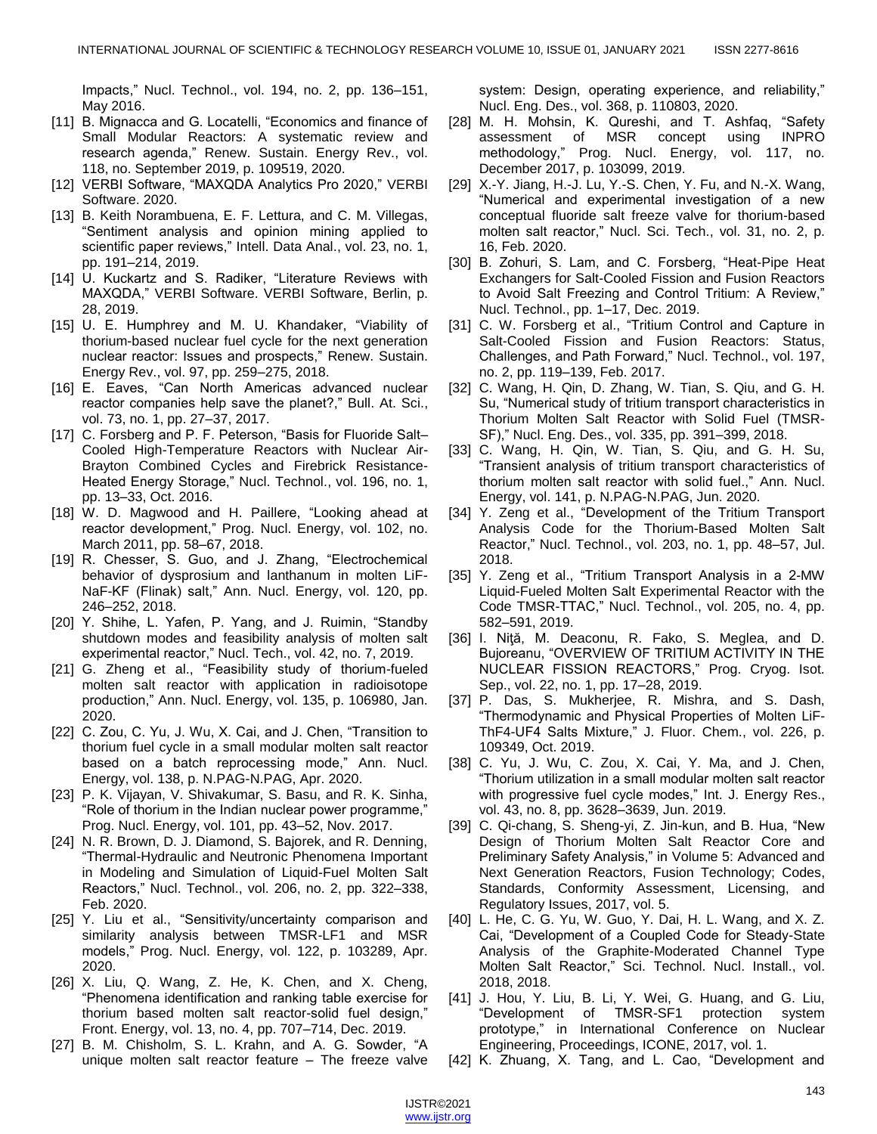Impacts,‖ Nucl. Technol., vol. 194, no. 2, pp. 136–151, May 2016.

- [11] B. Mignacca and G. Locatelli, "Economics and finance of Small Modular Reactors: A systematic review and research agenda," Renew. Sustain. Energy Rev., vol. 118, no. September 2019, p. 109519, 2020.
- [12] VERBI Software, "MAXQDA Analytics Pro 2020," VERBI Software. 2020.
- [13] B. Keith Norambuena, E. F. Lettura, and C. M. Villegas, ―Sentiment analysis and opinion mining applied to scientific paper reviews," Intell. Data Anal., vol. 23, no. 1, pp. 191–214, 2019.
- [14] U. Kuckartz and S. Radiker, "Literature Reviews with MAXQDA," VERBI Software. VERBI Software, Berlin, p. 28, 2019.
- [15] U. E. Humphrey and M. U. Khandaker, "Viability of thorium-based nuclear fuel cycle for the next generation nuclear reactor: Issues and prospects," Renew. Sustain. Energy Rev., vol. 97, pp. 259–275, 2018.
- [16] E. Eaves, "Can North Americas advanced nuclear reactor companies help save the planet?," Bull. At. Sci., vol. 73, no. 1, pp. 27–37, 2017.
- [17] C. Forsberg and P. F. Peterson, "Basis for Fluoride Salt-Cooled High-Temperature Reactors with Nuclear Air-Brayton Combined Cycles and Firebrick Resistance-Heated Energy Storage," Nucl. Technol., vol. 196, no. 1, pp. 13–33, Oct. 2016.
- [18] W. D. Magwood and H. Paillere, "Looking ahead at reactor development," Prog. Nucl. Energy, vol. 102, no. March 2011, pp. 58–67, 2018.
- [19] R. Chesser, S. Guo, and J. Zhang, "Electrochemical behavior of dysprosium and lanthanum in molten LiF-NaF-KF (Flinak) salt," Ann. Nucl. Energy, vol. 120, pp. 246–252, 2018.
- [20] Y. Shihe, L. Yafen, P. Yang, and J. Ruimin, "Standby shutdown modes and feasibility analysis of molten salt experimental reactor," Nucl. Tech., vol. 42, no. 7, 2019.
- [21] G. Zheng et al., "Feasibility study of thorium-fueled molten salt reactor with application in radioisotope production," Ann. Nucl. Energy, vol. 135, p. 106980, Jan. 2020.
- [22] C. Zou, C. Yu, J. Wu, X. Cai, and J. Chen, "Transition to thorium fuel cycle in a small modular molten salt reactor based on a batch reprocessing mode," Ann. Nucl. Energy, vol. 138, p. N.PAG-N.PAG, Apr. 2020.
- [23] P. K. Vijayan, V. Shivakumar, S. Basu, and R. K. Sinha, "Role of thorium in the Indian nuclear power programme," Prog. Nucl. Energy, vol. 101, pp. 43–52, Nov. 2017.
- [24] N. R. Brown, D. J. Diamond, S. Bajorek, and R. Denning, ―Thermal-Hydraulic and Neutronic Phenomena Important in Modeling and Simulation of Liquid-Fuel Molten Salt Reactors,‖ Nucl. Technol., vol. 206, no. 2, pp. 322–338, Feb. 2020.
- [25] Y. Liu et al., "Sensitivity/uncertainty comparison and similarity analysis between TMSR-LF1 and MSR models,‖ Prog. Nucl. Energy, vol. 122, p. 103289, Apr. 2020.
- [26] X. Liu, Q. Wang, Z. He, K. Chen, and X. Cheng, ―Phenomena identification and ranking table exercise for thorium based molten salt reactor-solid fuel design," Front. Energy, vol. 13, no. 4, pp. 707–714, Dec. 2019.
- [27] B. M. Chisholm, S. L. Krahn, and A. G. Sowder, "A unique molten salt reactor feature – The freeze valve

system: Design, operating experience, and reliability," Nucl. Eng. Des., vol. 368, p. 110803, 2020.

- [28] M. H. Mohsin, K. Qureshi, and T. Ashfaq, "Safety assessment of MSR concept using INPRO methodology," Prog. Nucl. Energy, vol. 117, no. December 2017, p. 103099, 2019.
- [29] X.-Y. Jiang, H.-J. Lu, Y.-S. Chen, Y. Fu, and N.-X. Wang, ―Numerical and experimental investigation of a new conceptual fluoride salt freeze valve for thorium-based molten salt reactor," Nucl. Sci. Tech., vol. 31, no. 2, p. 16, Feb. 2020.
- [30] B. Zohuri, S. Lam, and C. Forsberg, "Heat-Pipe Heat Exchangers for Salt-Cooled Fission and Fusion Reactors to Avoid Salt Freezing and Control Tritium: A Review," Nucl. Technol., pp. 1–17, Dec. 2019.
- [31] C. W. Forsberg et al., "Tritium Control and Capture in Salt-Cooled Fission and Fusion Reactors: Status, Challenges, and Path Forward," Nucl. Technol., vol. 197, no. 2, pp. 119–139, Feb. 2017.
- [32] C. Wang, H. Qin, D. Zhang, W. Tian, S. Qiu, and G. H. Su, "Numerical study of tritium transport characteristics in Thorium Molten Salt Reactor with Solid Fuel (TMSR-SF)," Nucl. Eng. Des., vol. 335, pp. 391-399, 2018.
- [33] C. Wang, H. Qin, W. Tian, S. Qiu, and G. H. Su, ―Transient analysis of tritium transport characteristics of thorium molten salt reactor with solid fuel.," Ann. Nucl. Energy, vol. 141, p. N.PAG-N.PAG, Jun. 2020.
- [34] Y. Zeng et al., "Development of the Tritium Transport Analysis Code for the Thorium-Based Molten Salt Reactor," Nucl. Technol., vol. 203, no. 1, pp. 48-57, Jul. 2018.
- [35] Y. Zeng et al., "Tritium Transport Analysis in a 2-MW Liquid-Fueled Molten Salt Experimental Reactor with the Code TMSR-TTAC," Nucl. Technol., vol. 205, no. 4, pp. 582–591, 2019.
- [36] I. Niţă, M. Deaconu, R. Fako, S. Meglea, and D. Bujoreanu, "OVERVIEW OF TRITIUM ACTIVITY IN THE NUCLEAR FISSION REACTORS,‖ Prog. Cryog. Isot. Sep., vol. 22, no. 1, pp. 17–28, 2019.
- [37] P. Das, S. Mukherjee, R. Mishra, and S. Dash, ―Thermodynamic and Physical Properties of Molten LiF-ThF4-UF4 Salts Mixture," J. Fluor. Chem., vol. 226, p. 109349, Oct. 2019.
- [38] C. Yu, J. Wu, C. Zou, X. Cai, Y. Ma, and J. Chen, ―Thorium utilization in a small modular molten salt reactor with progressive fuel cycle modes," Int. J. Energy Res., vol. 43, no. 8, pp. 3628–3639, Jun. 2019.
- [39] C. Qi-chang, S. Sheng-yi, Z. Jin-kun, and B. Hua, "New Design of Thorium Molten Salt Reactor Core and Preliminary Safety Analysis," in Volume 5: Advanced and Next Generation Reactors, Fusion Technology; Codes, Standards, Conformity Assessment, Licensing, and Regulatory Issues, 2017, vol. 5.
- [40] L. He, C. G. Yu, W. Guo, Y. Dai, H. L. Wang, and X. Z. Cai, "Development of a Coupled Code for Steady-State Analysis of the Graphite-Moderated Channel Type Molten Salt Reactor," Sci. Technol. Nucl. Install., vol. 2018, 2018.
- [41] J. Hou, Y. Liu, B. Li, Y. Wei, G. Huang, and G. Liu, ―Development of TMSR-SF1 protection system prototype," in International Conference on Nuclear Engineering, Proceedings, ICONE, 2017, vol. 1.
- [42] K. Zhuang, X. Tang, and L. Cao, "Development and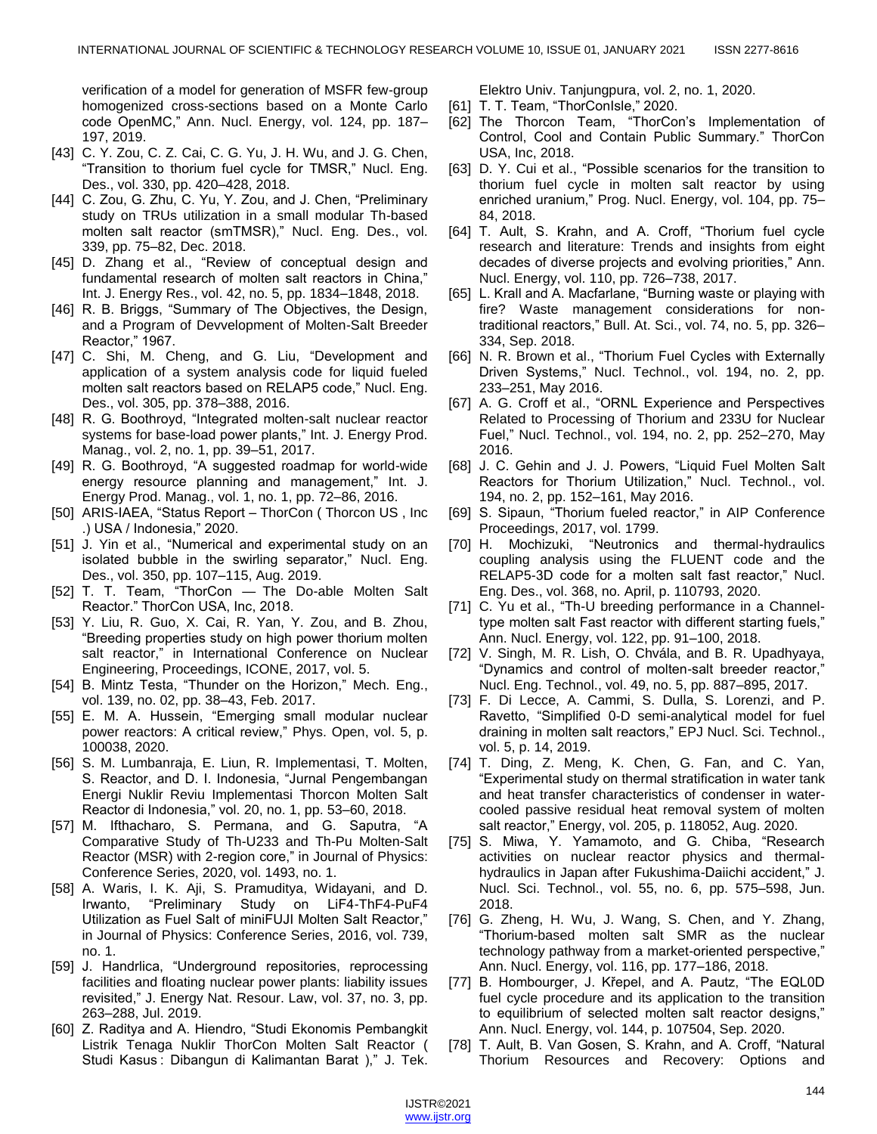verification of a model for generation of MSFR few-group homogenized cross-sections based on a Monte Carlo code OpenMC," Ann. Nucl. Energy, vol. 124, pp. 187-197, 2019.

- [43] C. Y. Zou, C. Z. Cai, C. G. Yu, J. H. Wu, and J. G. Chen, "Transition to thorium fuel cycle for TMSR," Nucl. Eng. Des., vol. 330, pp. 420–428, 2018.
- [44] C. Zou, G. Zhu, C. Yu, Y. Zou, and J. Chen, "Preliminary study on TRUs utilization in a small modular Th-based molten salt reactor (smTMSR)," Nucl. Eng. Des., vol. 339, pp. 75–82, Dec. 2018.
- [45] D. Zhang et al., "Review of conceptual design and fundamental research of molten salt reactors in China," Int. J. Energy Res., vol. 42, no. 5, pp. 1834–1848, 2018.
- [46] R. B. Briggs, "Summary of The Objectives, the Design, and a Program of Devvelopment of Molten-Salt Breeder Reactor," 1967.
- [47] C. Shi, M. Cheng, and G. Liu, "Development and application of a system analysis code for liquid fueled molten salt reactors based on RELAP5 code," Nucl. Eng. Des., vol. 305, pp. 378–388, 2016.
- [48] R. G. Boothroyd, "Integrated molten-salt nuclear reactor systems for base-load power plants," Int. J. Energy Prod. Manag., vol. 2, no. 1, pp. 39–51, 2017.
- [49] R. G. Boothroyd, "A suggested roadmap for world-wide energy resource planning and management," Int. J. Energy Prod. Manag., vol. 1, no. 1, pp. 72–86, 2016.
- [50] ARIS-IAEA, "Status Report ThorCon (Thorcon US, Inc. .) USA / Indonesia," 2020.
- [51] J. Yin et al., "Numerical and experimental study on an isolated bubble in the swirling separator," Nucl. Eng. Des., vol. 350, pp. 107–115, Aug. 2019.
- [52] T. T. Team, "ThorCon The Do-able Molten Salt Reactor." ThorCon USA, Inc, 2018.
- [53] Y. Liu, R. Guo, X. Cai, R. Yan, Y. Zou, and B. Zhou, ―Breeding properties study on high power thorium molten salt reactor," in International Conference on Nuclear Engineering, Proceedings, ICONE, 2017, vol. 5.
- [54] B. Mintz Testa, "Thunder on the Horizon," Mech. Eng., vol. 139, no. 02, pp. 38–43, Feb. 2017.
- [55] E. M. A. Hussein, "Emerging small modular nuclear power reactors: A critical review," Phys. Open, vol. 5, p. 100038, 2020.
- [56] S. M. Lumbanraja, E. Liun, R. Implementasi, T. Molten, S. Reactor, and D. I. Indonesia, "Jurnal Pengembangan Energi Nuklir Reviu Implementasi Thorcon Molten Salt Reactor di Indonesia," vol. 20, no. 1, pp. 53-60, 2018.
- [57] M. Ifthacharo, S. Permana, and G. Saputra, "A Comparative Study of Th-U233 and Th-Pu Molten-Salt Reactor (MSR) with 2-region core," in Journal of Physics: Conference Series, 2020, vol. 1493, no. 1.
- [58] A. Waris, I. K. Aji, S. Pramuditya, Widayani, and D. Irwanto, "Preliminary Study on LiF4-ThF4-PuF4 Utilization as Fuel Salt of miniFUJI Molten Salt Reactor," in Journal of Physics: Conference Series, 2016, vol. 739, no. 1.
- [59] J. Handrlica, "Underground repositories, reprocessing facilities and floating nuclear power plants: liability issues revisited," J. Energy Nat. Resour. Law, vol. 37, no. 3, pp. 263–288, Jul. 2019.
- [60] Z. Raditya and A. Hiendro, "Studi Ekonomis Pembangkit Listrik Tenaga Nuklir ThorCon Molten Salt Reactor ( Studi Kasus: Dibangun di Kalimantan Barat )," J. Tek.

Elektro Univ. Tanjungpura, vol. 2, no. 1, 2020.

- [61] T. T. Team, "ThorConIsle," 2020.
- [62] The Thorcon Team, "ThorCon's Implementation of Control, Cool and Contain Public Summary." ThorCon USA, Inc, 2018.
- [63] D. Y. Cui et al., "Possible scenarios for the transition to thorium fuel cycle in molten salt reactor by using enriched uranium," Prog. Nucl. Energy, vol. 104, pp. 75– 84, 2018.
- [64] T. Ault, S. Krahn, and A. Croff, "Thorium fuel cycle research and literature: Trends and insights from eight decades of diverse projects and evolving priorities," Ann. Nucl. Energy, vol. 110, pp. 726–738, 2017.
- [65] L. Krall and A. Macfarlane, "Burning waste or playing with fire? Waste management considerations for nontraditional reactors," Bull. At. Sci., vol. 74, no. 5, pp. 326– 334, Sep. 2018.
- [66] N. R. Brown et al., "Thorium Fuel Cycles with Externally Driven Systems," Nucl. Technol., vol. 194, no. 2, pp. 233–251, May 2016.
- [67] A. G. Croff et al., "ORNL Experience and Perspectives Related to Processing of Thorium and 233U for Nuclear Fuel," Nucl. Technol., vol. 194, no. 2, pp. 252-270, May 2016.
- [68] J. C. Gehin and J. J. Powers, "Liquid Fuel Molten Salt Reactors for Thorium Utilization," Nucl. Technol., vol. 194, no. 2, pp. 152–161, May 2016.
- [69] S. Sipaun, "Thorium fueled reactor," in AIP Conference Proceedings, 2017, vol. 1799.
- [70] H. Mochizuki, "Neutronics and thermal-hydraulics coupling analysis using the FLUENT code and the RELAP5-3D code for a molten salt fast reactor," Nucl. Eng. Des., vol. 368, no. April, p. 110793, 2020.
- [71] C. Yu et al., "Th-U breeding performance in a Channeltype molten salt Fast reactor with different starting fuels," Ann. Nucl. Energy, vol. 122, pp. 91–100, 2018.
- [72] V. Singh, M. R. Lish, O. Chvála, and B. R. Upadhyaya, "Dynamics and control of molten-salt breeder reactor," Nucl. Eng. Technol., vol. 49, no. 5, pp. 887–895, 2017.
- [73] F. Di Lecce, A. Cammi, S. Dulla, S. Lorenzi, and P. Ravetto, "Simplified 0-D semi-analytical model for fuel draining in molten salt reactors," EPJ Nucl. Sci. Technol., vol. 5, p. 14, 2019.
- [74] T. Ding, Z. Meng, K. Chen, G. Fan, and C. Yan, ―Experimental study on thermal stratification in water tank and heat transfer characteristics of condenser in watercooled passive residual heat removal system of molten salt reactor," Energy, vol. 205, p. 118052, Aug. 2020.
- [75] S. Miwa, Y. Yamamoto, and G. Chiba, "Research activities on nuclear reactor physics and thermalhydraulics in Japan after Fukushima-Daiichi accident," J. Nucl. Sci. Technol., vol. 55, no. 6, pp. 575–598, Jun. 2018.
- [76] G. Zheng, H. Wu, J. Wang, S. Chen, and Y. Zhang, ―Thorium-based molten salt SMR as the nuclear technology pathway from a market-oriented perspective," Ann. Nucl. Energy, vol. 116, pp. 177–186, 2018.
- [77] B. Hombourger, J. Křepel, and A. Pautz, "The EQL0D fuel cycle procedure and its application to the transition to equilibrium of selected molten salt reactor designs," Ann. Nucl. Energy, vol. 144, p. 107504, Sep. 2020.
- [78] T. Ault, B. Van Gosen, S. Krahn, and A. Croff, "Natural Thorium Resources and Recovery: Options and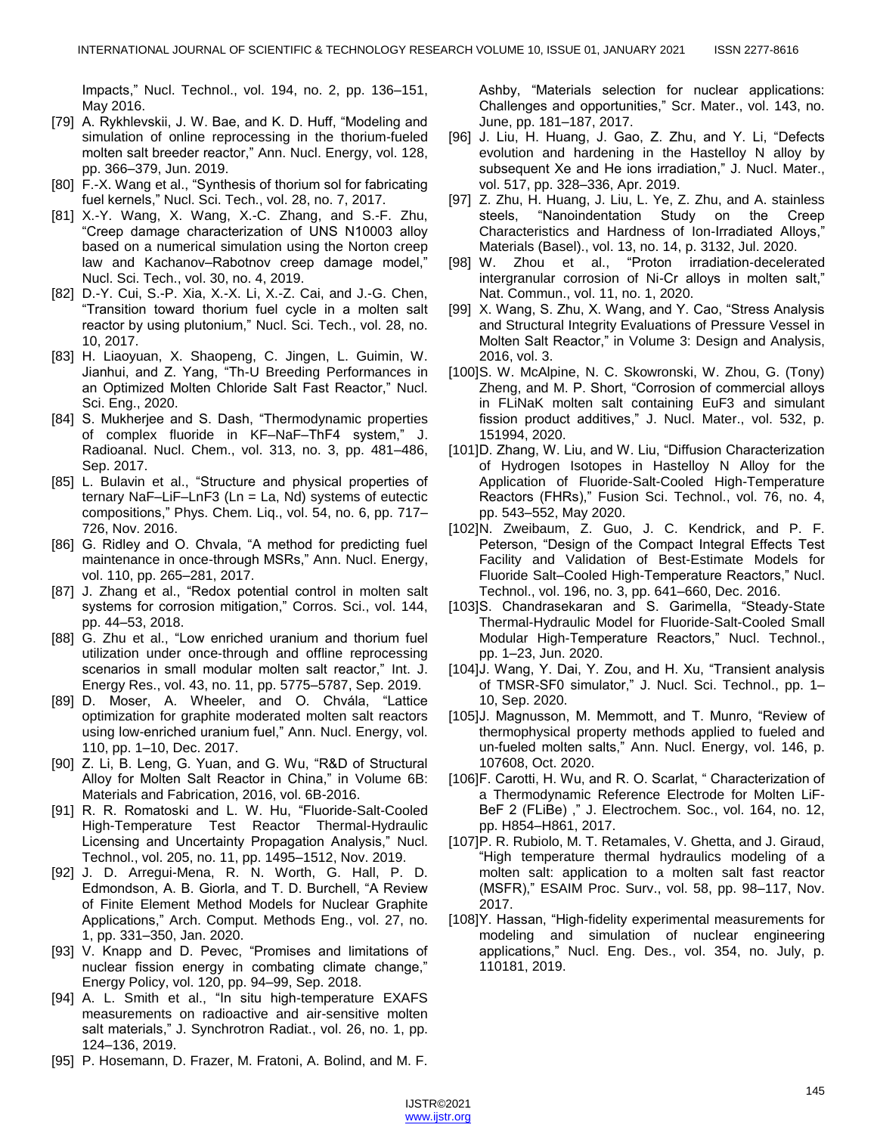Impacts,‖ Nucl. Technol., vol. 194, no. 2, pp. 136–151, May 2016.

- [79] A. Rykhlevskii, J. W. Bae, and K. D. Huff, "Modeling and simulation of online reprocessing in the thorium-fueled molten salt breeder reactor," Ann. Nucl. Energy, vol. 128, pp. 366–379, Jun. 2019.
- [80] F.-X. Wang et al., "Synthesis of thorium sol for fabricating fuel kernels," Nucl. Sci. Tech., vol. 28, no. 7, 2017.
- [81] X.-Y. Wang, X. Wang, X.-C. Zhang, and S.-F. Zhu, ―Creep damage characterization of UNS N10003 alloy based on a numerical simulation using the Norton creep law and Kachanov–Rabotnov creep damage model," Nucl. Sci. Tech., vol. 30, no. 4, 2019.
- [82] D.-Y. Cui, S.-P. Xia, X.-X. Li, X.-Z. Cai, and J.-G. Chen, ―Transition toward thorium fuel cycle in a molten salt reactor by using plutonium," Nucl. Sci. Tech., vol. 28, no. 10, 2017.
- [83] H. Liaoyuan, X. Shaopeng, C. Jingen, L. Guimin, W. Jianhui, and Z. Yang, "Th-U Breeding Performances in an Optimized Molten Chloride Salt Fast Reactor," Nucl. Sci. Eng., 2020.
- [84] S. Mukherjee and S. Dash, "Thermodynamic properties of complex fluoride in KF–NaF–ThF4 system," J. Radioanal. Nucl. Chem., vol. 313, no. 3, pp. 481–486, Sep. 2017.
- [85] L. Bulavin et al., "Structure and physical properties of ternary NaF–LiF–LnF3 (Ln = La, Nd) systems of eutectic compositions,‖ Phys. Chem. Liq., vol. 54, no. 6, pp. 717– 726, Nov. 2016.
- [86] G. Ridley and O. Chvala, "A method for predicting fuel maintenance in once-through MSRs," Ann. Nucl. Energy, vol. 110, pp. 265–281, 2017.
- [87] J. Zhang et al., "Redox potential control in molten salt systems for corrosion mitigation," Corros. Sci., vol. 144, pp. 44–53, 2018.
- [88] G. Zhu et al., "Low enriched uranium and thorium fuel utilization under once‐through and offline reprocessing scenarios in small modular molten salt reactor," Int. J. Energy Res., vol. 43, no. 11, pp. 5775–5787, Sep. 2019.
- [89] D. Moser, A. Wheeler, and O. Chvála, "Lattice optimization for graphite moderated molten salt reactors using low-enriched uranium fuel," Ann. Nucl. Energy, vol. 110, pp. 1–10, Dec. 2017.
- [90] Z. Li, B. Leng, G. Yuan, and G. Wu, "R&D of Structural Alloy for Molten Salt Reactor in China," in Volume 6B: Materials and Fabrication, 2016, vol. 6B-2016.
- [91] R. R. Romatoski and L. W. Hu, "Fluoride-Salt-Cooled High-Temperature Test Reactor Thermal-Hydraulic Licensing and Uncertainty Propagation Analysis," Nucl. Technol., vol. 205, no. 11, pp. 1495–1512, Nov. 2019.
- [92] J. D. Arregui-Mena, R. N. Worth, G. Hall, P. D. Edmondson, A. B. Giorla, and T. D. Burchell, "A Review of Finite Element Method Models for Nuclear Graphite Applications," Arch. Comput. Methods Eng., vol. 27, no. 1, pp. 331–350, Jan. 2020.
- [93] V. Knapp and D. Pevec, "Promises and limitations of nuclear fission energy in combating climate change," Energy Policy, vol. 120, pp. 94–99, Sep. 2018.
- [94] A. L. Smith et al., "In situ high-temperature EXAFS measurements on radioactive and air-sensitive molten salt materials," J. Synchrotron Radiat., vol. 26, no. 1, pp. 124–136, 2019.
- [95] P. Hosemann, D. Frazer, M. Fratoni, A. Bolind, and M. F.

Ashby, "Materials selection for nuclear applications: Challenges and opportunities,‖ Scr. Mater., vol. 143, no. June, pp. 181–187, 2017.

- [96] J. Liu, H. Huang, J. Gao, Z. Zhu, and Y. Li, "Defects evolution and hardening in the Hastelloy N alloy by subsequent Xe and He ions irradiation," J. Nucl. Mater., vol. 517, pp. 328–336, Apr. 2019.
- [97] Z. Zhu, H. Huang, J. Liu, L. Ye, Z. Zhu, and A. stainless steels, "Nanoindentation Study on the Creep Characteristics and Hardness of Ion-Irradiated Alloys," Materials (Basel)., vol. 13, no. 14, p. 3132, Jul. 2020.
- [98] W. Zhou et al., "Proton irradiation-decelerated intergranular corrosion of Ni-Cr alloys in molten salt," Nat. Commun., vol. 11, no. 1, 2020.
- [99] X. Wang, S. Zhu, X. Wang, and Y. Cao, "Stress Analysis and Structural Integrity Evaluations of Pressure Vessel in Molten Salt Reactor," in Volume 3: Design and Analysis, 2016, vol. 3.
- [100]S. W. McAlpine, N. C. Skowronski, W. Zhou, G. (Tony) Zheng, and M. P. Short, "Corrosion of commercial alloys in FLiNaK molten salt containing EuF3 and simulant fission product additives," J. Nucl. Mater., vol. 532, p. 151994, 2020.
- [101]D. Zhang, W. Liu, and W. Liu, "Diffusion Characterization of Hydrogen Isotopes in Hastelloy N Alloy for the Application of Fluoride-Salt-Cooled High-Temperature Reactors (FHRs)," Fusion Sci. Technol., vol. 76, no. 4, pp. 543–552, May 2020.
- [102]N. Zweibaum, Z. Guo, J. C. Kendrick, and P. F. Peterson, "Design of the Compact Integral Effects Test Facility and Validation of Best-Estimate Models for Fluoride Salt-Cooled High-Temperature Reactors," Nucl. Technol., vol. 196, no. 3, pp. 641–660, Dec. 2016.
- [103]S. Chandrasekaran and S. Garimella, "Steady-State Thermal-Hydraulic Model for Fluoride-Salt-Cooled Small Modular High-Temperature Reactors," Nucl. Technol., pp. 1–23, Jun. 2020.
- [104]J. Wang, Y. Dai, Y. Zou, and H. Xu, "Transient analysis of TMSR-SF0 simulator," J. Nucl. Sci. Technol., pp. 1-10, Sep. 2020.
- [105]J. Magnusson, M. Memmott, and T. Munro, "Review of thermophysical property methods applied to fueled and un-fueled molten salts," Ann. Nucl. Energy, vol. 146, p. 107608, Oct. 2020.
- [106]F. Carotti, H. Wu, and R. O. Scarlat, "Characterization of a Thermodynamic Reference Electrode for Molten LiF-BeF 2 (FLiBe)," J. Electrochem. Soc., vol. 164, no. 12, pp. H854–H861, 2017.
- [107]P. R. Rubiolo, M. T. Retamales, V. Ghetta, and J. Giraud, "High temperature thermal hydraulics modeling of a molten salt: application to a molten salt fast reactor (MSFR)," ESAIM Proc. Surv., vol. 58, pp. 98-117, Nov. 2017.
- [108]Y. Hassan, "High-fidelity experimental measurements for modeling and simulation of nuclear engineering applications," Nucl. Eng. Des., vol. 354, no. July, p. 110181, 2019.